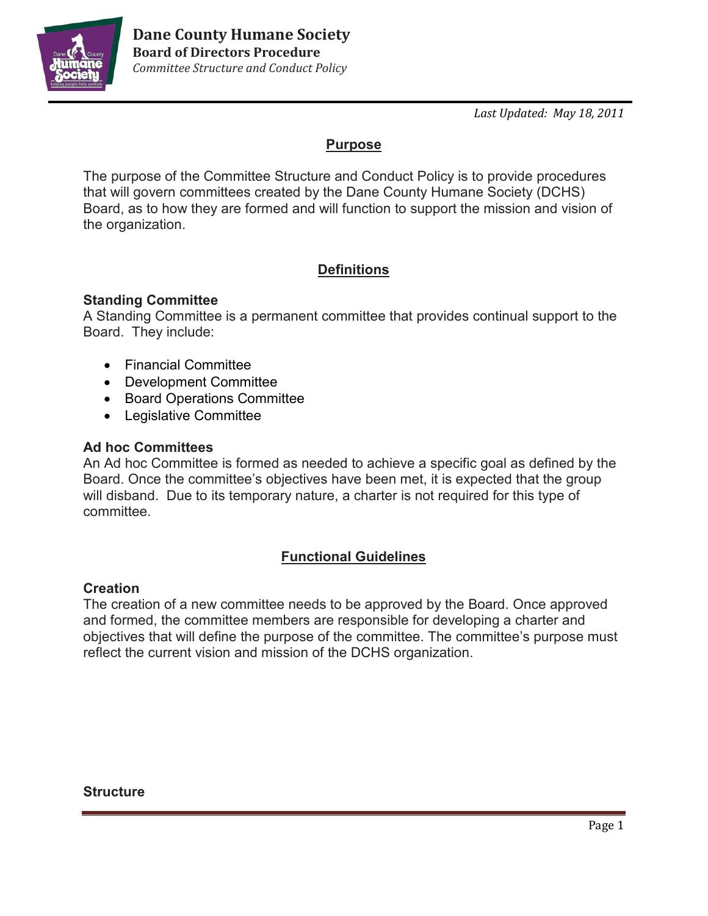

*Last Updated: May 18, 2011*

## **Purpose**

The purpose of the Committee Structure and Conduct Policy is to provide procedures that will govern committees created by the Dane County Humane Society (DCHS) Board, as to how they are formed and will function to support the mission and vision of the organization.

# **Definitions**

### **Standing Committee**

A Standing Committee is a permanent committee that provides continual support to the Board. They include:

- Financial Committee
- Development Committee
- Board Operations Committee
- Legislative Committee

### **Ad hoc Committees**

An Ad hoc Committee is formed as needed to achieve a specific goal as defined by the Board. Once the committee's objectives have been met, it is expected that the group will disband. Due to its temporary nature, a charter is not required for this type of committee.

## **Functional Guidelines**

### **Creation**

The creation of a new committee needs to be approved by the Board. Once approved and formed, the committee members are responsible for developing a charter and objectives that will define the purpose of the committee. The committee's purpose must reflect the current vision and mission of the DCHS organization.

### **Structure**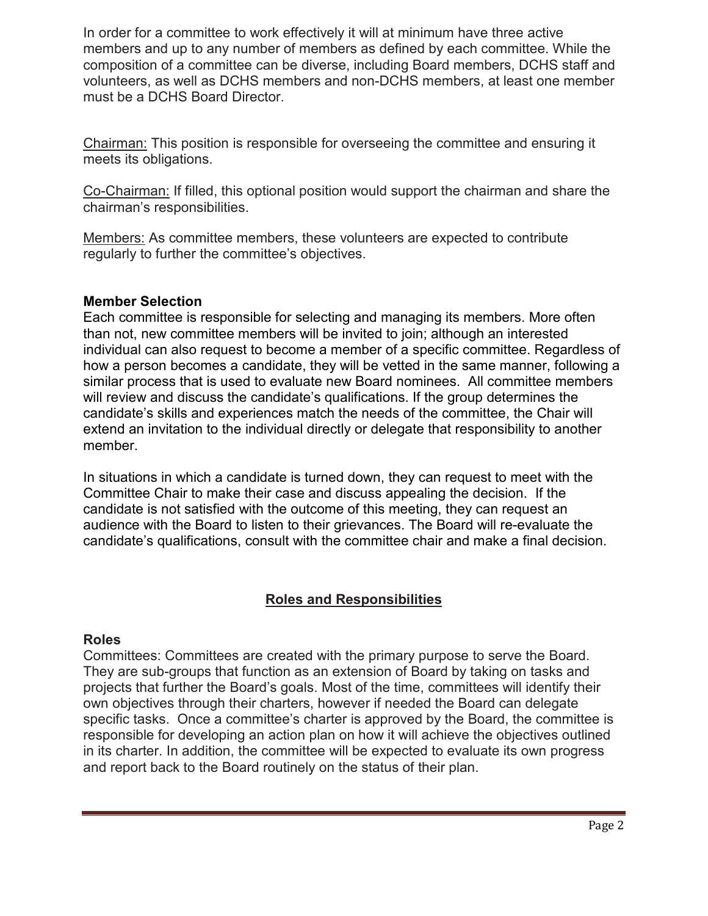In order for a committee to work effectively it will at minimum have three active members and up to any number of members as defined by each committee. While the composition of a committee can be diverse, including Board members, DCHS staff and volunteers, as well as DCHS members and non-DCHS members, at least one member must be a DCHS Board Director.

Chairman: This position is responsible for overseeing the committee and ensuring it meets its obligations.

Co-Chairman: If filled, this optional position would support the chairman and share the chairman's responsibilities.

Members: As committee members, these volunteers are expected to contribute regularly to further the committee's objectives.

### **Member Selection**

Each committee is responsible for selecting and managing its members. More often than not, new committee members will be invited to join; although an interested individual can also request to become a member of a specific committee. Regardless of how a person becomes a candidate, they will be vetted in the same manner, following a similar process that is used to evaluate new Board nominees. All committee members will review and discuss the candidate's qualifications. If the group determines the candidate's skills and experiences match the needs of the committee, the Chair will extend an invitation to the individual directly or delegate that responsibility to another member.

In situations in which a candidate is turned down, they can request to meet with the Committee Chair to make their case and discuss appealing the decision. If the candidate is not satisfied with the outcome of this meeting, they can request an audience with the Board to listen to their grievances. The Board will re-evaluate the candidate's qualifications, consult with the committee chair and make a final decision.

### **Roles and Responsibilities**

#### **Roles**

Committees: Committees are created with the primary purpose to serve the Board. They are sub-groups that function as an extension of Board by taking on tasks and projects that further the Board's goals. Most of the time, committees will identify their own objectives through their charters, however if needed the Board can delegate specific tasks. Once a committee's charter is approved by the Board, the committee is responsible for developing an action plan on how it will achieve the objectives outlined in its charter. In addition, the committee will be expected to evaluate its own progress and report back to the Board routinely on the status of their plan.